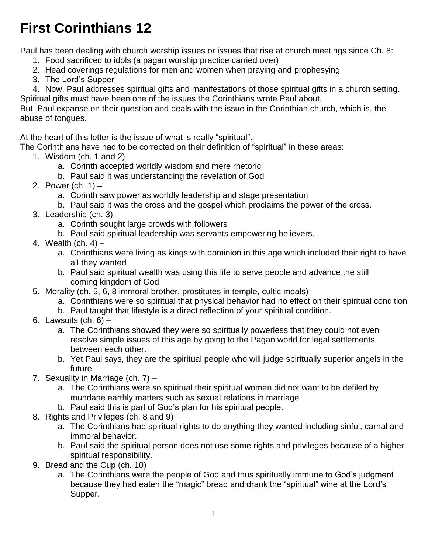# **First Corinthians 12**

Paul has been dealing with church worship issues or issues that rise at church meetings since Ch. 8:

- 1. Food sacrificed to idols (a pagan worship practice carried over)
- 2. Head coverings regulations for men and women when praying and prophesying
- 3. The Lord's Supper
- 4. Now, Paul addresses spiritual gifts and manifestations of those spiritual gifts in a church setting. Spiritual gifts must have been one of the issues the Corinthians wrote Paul about.

But, Paul expanse on their question and deals with the issue in the Corinthian church, which is, the abuse of tongues.

At the heart of this letter is the issue of what is really "spiritual".

The Corinthians have had to be corrected on their definition of "spiritual" in these areas:

- 1. Wisdom (ch. 1 and  $2$ )
	- a. Corinth accepted worldly wisdom and mere rhetoric
	- b. Paul said it was understanding the revelation of God
- 2. Power (ch. 1)
	- a. Corinth saw power as worldly leadership and stage presentation
	- b. Paul said it was the cross and the gospel which proclaims the power of the cross.
- 3. Leadership (ch. 3)
	- a. Corinth sought large crowds with followers
	- b. Paul said spiritual leadership was servants empowering believers.
- 4. Wealth (ch. 4)
	- a. Corinthians were living as kings with dominion in this age which included their right to have all they wanted
	- b. Paul said spiritual wealth was using this life to serve people and advance the still coming kingdom of God
- 5. Morality (ch. 5, 6, 8 immoral brother, prostitutes in temple, cultic meals)
	- a. Corinthians were so spiritual that physical behavior had no effect on their spiritual condition
	- b. Paul taught that lifestyle is a direct reflection of your spiritual condition.
- 6. Lawsuits  $(ch. 6)$ 
	- a. The Corinthians showed they were so spiritually powerless that they could not even resolve simple issues of this age by going to the Pagan world for legal settlements between each other.
	- b. Yet Paul says, they are the spiritual people who will judge spiritually superior angels in the future
- 7. Sexuality in Marriage (ch. 7)
	- a. The Corinthians were so spiritual their spiritual women did not want to be defiled by mundane earthly matters such as sexual relations in marriage
	- b. Paul said this is part of God's plan for his spiritual people.
- 8. Rights and Privileges (ch. 8 and 9)
	- a. The Corinthians had spiritual rights to do anything they wanted including sinful, carnal and immoral behavior.
	- b. Paul said the spiritual person does not use some rights and privileges because of a higher spiritual responsibility.
- 9. Bread and the Cup (ch. 10)
	- a. The Corinthians were the people of God and thus spiritually immune to God's judgment because they had eaten the "magic" bread and drank the "spiritual" wine at the Lord's Supper.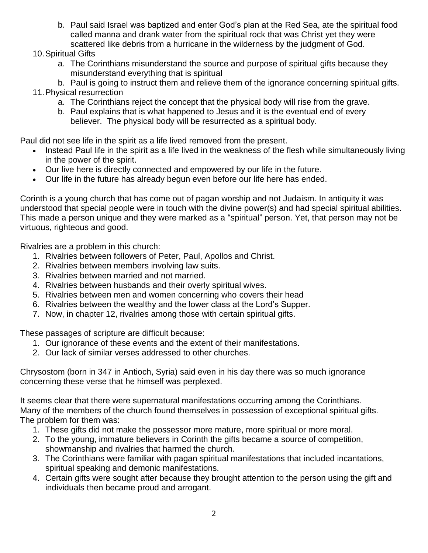- b. Paul said Israel was baptized and enter God's plan at the Red Sea, ate the spiritual food called manna and drank water from the spiritual rock that was Christ yet they were scattered like debris from a hurricane in the wilderness by the judgment of God.
- 10.Spiritual Gifts
	- a. The Corinthians misunderstand the source and purpose of spiritual gifts because they misunderstand everything that is spiritual
- b. Paul is going to instruct them and relieve them of the ignorance concerning spiritual gifts. 11.Physical resurrection
	- a. The Corinthians reject the concept that the physical body will rise from the grave.
	- b. Paul explains that is what happened to Jesus and it is the eventual end of every believer. The physical body will be resurrected as a spiritual body.

Paul did not see life in the spirit as a life lived removed from the present.

- Instead Paul life in the spirit as a life lived in the weakness of the flesh while simultaneously living in the power of the spirit.
- Our live here is directly connected and empowered by our life in the future.
- Our life in the future has already begun even before our life here has ended.

Corinth is a young church that has come out of pagan worship and not Judaism. In antiquity it was understood that special people were in touch with the divine power(s) and had special spiritual abilities. This made a person unique and they were marked as a "spiritual" person. Yet, that person may not be virtuous, righteous and good.

Rivalries are a problem in this church:

- 1. Rivalries between followers of Peter, Paul, Apollos and Christ.
- 2. Rivalries between members involving law suits.
- 3. Rivalries between married and not married.
- 4. Rivalries between husbands and their overly spiritual wives.
- 5. Rivalries between men and women concerning who covers their head
- 6. Rivalries between the wealthy and the lower class at the Lord's Supper.
- 7. Now, in chapter 12, rivalries among those with certain spiritual gifts.

These passages of scripture are difficult because:

- 1. Our ignorance of these events and the extent of their manifestations.
- 2. Our lack of similar verses addressed to other churches.

Chrysostom (born in 347 in Antioch, Syria) said even in his day there was so much ignorance concerning these verse that he himself was perplexed.

It seems clear that there were supernatural manifestations occurring among the Corinthians. Many of the members of the church found themselves in possession of exceptional spiritual gifts. The problem for them was:

- 1. These gifts did not make the possessor more mature, more spiritual or more moral.
- 2. To the young, immature believers in Corinth the gifts became a source of competition, showmanship and rivalries that harmed the church.
- 3. The Corinthians were familiar with pagan spiritual manifestations that included incantations, spiritual speaking and demonic manifestations.
- 4. Certain gifts were sought after because they brought attention to the person using the gift and individuals then became proud and arrogant.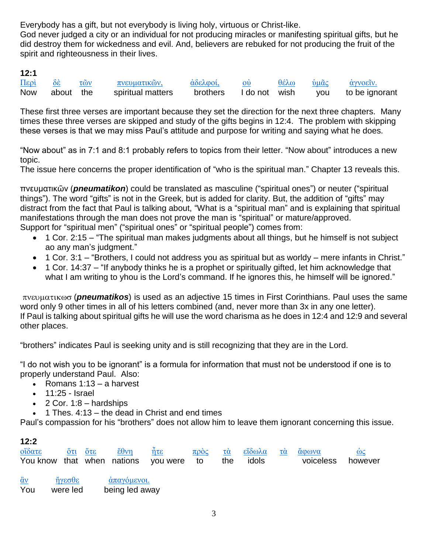Everybody has a gift, but not everybody is living holy, virtuous or Christ-like.

God never judged a city or an individual for not producing miracles or manifesting spiritual gifts, but he did destroy them for wickedness and evil. And, believers are rebuked for not producing the fruit of the spirit and righteousness in their lives.

#### **12:1**

| $\overline{\text{Hepi}}$ | $\delta \dot{\varepsilon}$ | $\tau$ $\omega$ | πνευματικών,                    | άδελφοί, ού |  | θέλω ὑμᾶς ἀγνοεῖν.                        |
|--------------------------|----------------------------|-----------------|---------------------------------|-------------|--|-------------------------------------------|
|                          |                            |                 | Now about the spiritual matters |             |  | brothers I do not wish you to be ignorant |

These first three verses are important because they set the direction for the next three chapters. Many times these three verses are skipped and study of the gifts begins in 12:4. The problem with skipping these verses is that we may miss Paul's attitude and purpose for writing and saying what he does.

"Now about" as in 7:1 and 8:1 probably refers to topics from their letter. "Now about" introduces a new topic.

The issue here concerns the proper identification of "who is the spiritual man." Chapter 13 reveals this.

πνευματικῶν (*pneumatikon*) could be translated as masculine ("spiritual ones") or neuter ("spiritual things"). The word "gifts" is not in the Greek, but is added for clarity. But, the addition of "gifts" may distract from the fact that Paul is talking about, "What is a "spiritual man" and is explaining that spiritual manifestations through the man does not prove the man is "spiritual" or mature/approved. Support for "spiritual men" ("spiritual ones" or "spiritual people") comes from:

- 1 Cor. 2:15 "The spiritual man makes judgments about all things, but he himself is not subject ao any man's judgment."
- 1 Cor. 3:1 "Brothers, I could not address you as spiritual but as worldy mere infants in Christ."
- 1 Cor. 14:37 "If anybody thinks he is a prophet or spiritually gifted, let him acknowledge that what I am writing to yhou is the Lord's command. If he ignores this, he himself will be ignored."

 (*pneumatikos*) is used as an adjective 15 times in First Corinthians. Paul uses the same word only 9 other times in all of his letters combined (and, never more than 3x in any one letter). If Paul is talking about spiritual gifts he will use the word charisma as he does in 12:4 and 12:9 and several other places.

"brothers" indicates Paul is seeking unity and is still recognizing that they are in the Lord.

"I do not wish you to be ignorant" is a formula for information that must not be understood if one is to properly understand Paul. Also:

- Romans  $1:13 a$  harvest
- $\cdot$  11:25 Israel
- $\bullet$  2 Cor. 1:8 hardships
- $\bullet$  1 Thes. 4:13 the dead in Christ and end times

Paul's compassion for his "brothers" does not allow him to leave them ignorant concerning this issue.

#### **12:2**

|  |  |  |  | <u>οΐδατε ότι ότε έθνη ἦτε πρὸς τὰ εἴδωλα τὰ ἄφωνα</u> ω <u>ος</u> |  |
|--|--|--|--|--------------------------------------------------------------------|--|
|  |  |  |  | You know that when nations you were to the idols business however  |  |

[ἂν](http://strongsnumbers.com/greek/302.htm) [ἤγεσθε](http://strongsnumbers.com/greek/71.htm) [ἀπαγόμενοι.](http://strongsnumbers.com/greek/520.htm) You were led being led away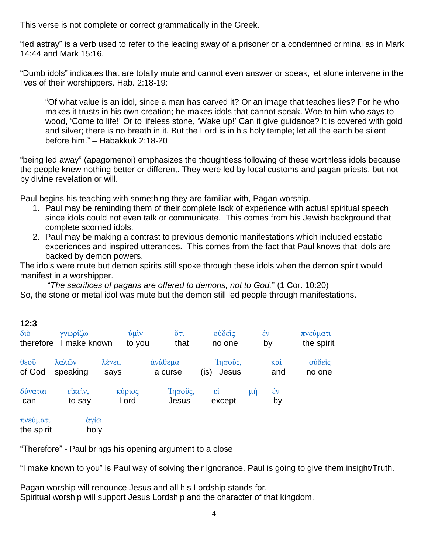This verse is not complete or correct grammatically in the Greek.

"led astray" is a verb used to refer to the leading away of a prisoner or a condemned criminal as in Mark 14:44 and Mark 15:16.

"Dumb idols" indicates that are totally mute and cannot even answer or speak, let alone intervene in the lives of their worshippers. Hab. 2:18-19:

"Of what value is an idol, since a man has carved it? Or an image that teaches lies? For he who makes it trusts in his own creation; he makes idols that cannot speak. Woe to him who says to wood, 'Come to life!' Or to lifeless stone, 'Wake up!' Can it give guidance? It is covered with gold and silver; there is no breath in it. But the Lord is in his holy temple; let all the earth be silent before him." – Habakkuk 2:18-20

"being led away" (apagomenoi) emphasizes the thoughtless following of these worthless idols because the people knew nothing better or different. They were led by local customs and pagan priests, but not by divine revelation or will.

Paul begins his teaching with something they are familiar with, Pagan worship.

- 1. Paul may be reminding them of their complete lack of experience with actual spiritual speech since idols could not even talk or communicate. This comes from his Jewish background that complete scorned idols.
- 2. Paul may be making a contrast to previous demonic manifestations which included ecstatic experiences and inspired utterances. This comes from the fact that Paul knows that idols are backed by demon powers.

The idols were mute but demon spirits still spoke through these idols when the demon spirit would manifest in a worshipper.

"*The sacrifices of pagans are offered to demons, not to God.*" (1 Cor. 10:20) So, the stone or metal idol was mute but the demon still led people through manifestations.

| 12:3<br>$\delta$ <sub>10</sub><br>therefore      | γνωρίζω<br>make known | $\dot{v}$ $\mu \tilde{v}$<br>to you | $\mathbf{\Huge{\circ}\tau\tau}$<br>that | ούδεις<br>no one                   |           | $\underline{\dot{\epsilon}v}$<br>by | πνεύματι<br>the spirit                                               |
|--------------------------------------------------|-----------------------|-------------------------------------|-----------------------------------------|------------------------------------|-----------|-------------------------------------|----------------------------------------------------------------------|
| $\frac{\theta \epsilon o\tilde{v}}{2}$<br>of God | λαλῶν<br>speaking     | <u>λέγει,</u><br>says               | άνάθεμα<br>a curse                      | Ίησοῦς,<br>Jesus<br>$($ is)        |           | <u>καί</u><br>and                   | $\frac{\partial \dot{\delta} \varepsilon}{\partial \zeta}$<br>no one |
| δύναται<br>can                                   | είπεῖν,<br>to say     | κύριος<br>Lord                      | Ίησοῦς,<br>Jesus                        | $\underline{\epsilon i}$<br>except | <u>μή</u> | $\underline{\dot{\epsilon}v}$<br>by |                                                                      |
| πνεύματι<br>the spirit                           | <u>άγίω.</u><br>holy  |                                     |                                         |                                    |           |                                     |                                                                      |

"Therefore" - Paul brings his opening argument to a close

"I make known to you" is Paul way of solving their ignorance. Paul is going to give them insight/Truth.

Pagan worship will renounce Jesus and all his Lordship stands for. Spiritual worship will support Jesus Lordship and the character of that kingdom.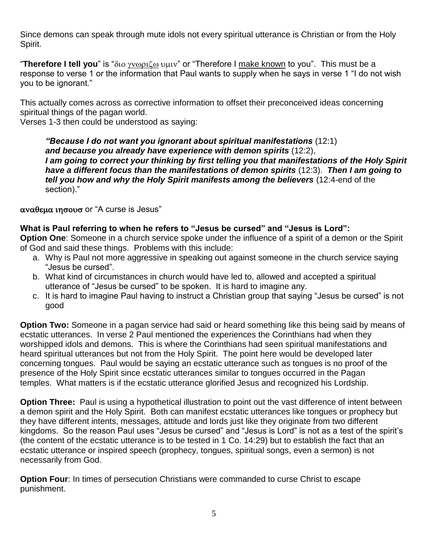Since demons can speak through mute idols not every spiritual utterance is Christian or from the Holy Spirit.

"Therefore I tell you" is "διο γνωριζω υμιν" or "Therefore I make known to you". This must be a response to verse 1 or the information that Paul wants to supply when he says in verse 1 "I do not wish you to be ignorant."

This actually comes across as corrective information to offset their preconceived ideas concerning spiritual things of the pagan world.

Verses 1-3 then could be understood as saying:

*"Because I do not want you ignorant about spiritual manifestations* (12:1) *and because you already have experience with demon spirits* (12:2), *I am going to correct your thinking by first telling you that manifestations of the Holy Spirit have a different focus than the manifestations of demon spirits* (12:3). *Then I am going to tell you how and why the Holy Spirit manifests among the believers* (12:4-end of the section)."

 $\alpha$ v $\alpha$ θεμα ιησουσ or "A curse is Jesus"

**What is Paul referring to when he refers to "Jesus be cursed" and "Jesus is Lord":**

**Option One**: Someone in a church service spoke under the influence of a spirit of a demon or the Spirit of God and said these things. Problems with this include:

- a. Why is Paul not more aggressive in speaking out against someone in the church service saying "Jesus be cursed".
- b. What kind of circumstances in church would have led to, allowed and accepted a spiritual utterance of "Jesus be cursed" to be spoken. It is hard to imagine any.
- c. It is hard to imagine Paul having to instruct a Christian group that saying "Jesus be cursed" is not good

**Option Two:** Someone in a pagan service had said or heard something like this being said by means of ecstatic utterances. In verse 2 Paul mentioned the experiences the Corinthians had when they worshipped idols and demons. This is where the Corinthians had seen spiritual manifestations and heard spiritual utterances but not from the Holy Spirit. The point here would be developed later concerning tongues. Paul would be saying an ecstatic utterance such as tongues is no proof of the presence of the Holy Spirit since ecstatic utterances similar to tongues occurred in the Pagan temples. What matters is if the ecstatic utterance glorified Jesus and recognized his Lordship.

**Option Three:** Paul is using a hypothetical illustration to point out the vast difference of intent between a demon spirit and the Holy Spirit. Both can manifest ecstatic utterances like tongues or prophecy but they have different intents, messages, attitude and lords just like they originate from two different kingdoms. So the reason Paul uses "Jesus be cursed" and "Jesus is Lord" is not as a test of the spirit's (the content of the ecstatic utterance is to be tested in 1 Co. 14:29) but to establish the fact that an ecstatic utterance or inspired speech (prophecy, tongues, spiritual songs, even a sermon) is not necessarily from God.

**Option Four**: In times of persecution Christians were commanded to curse Christ to escape punishment.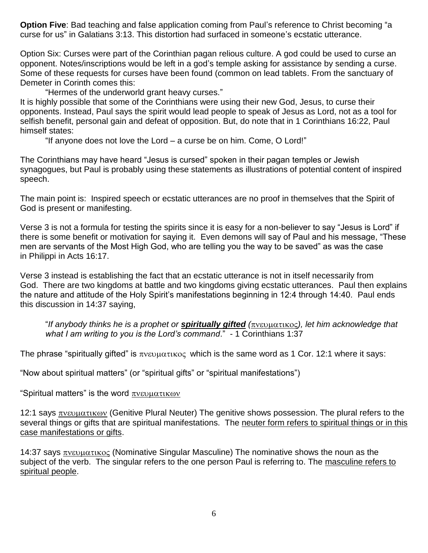**Option Five**: Bad teaching and false application coming from Paul's reference to Christ becoming "a curse for us" in Galatians 3:13. This distortion had surfaced in someone's ecstatic utterance.

Option Six: Curses were part of the Corinthian pagan relious culture. A god could be used to curse an opponent. Notes/inscriptions would be left in a god's temple asking for assistance by sending a curse. Some of these requests for curses have been found (common on lead tablets. From the sanctuary of Demeter in Corinth comes this:

"Hermes of the underworld grant heavy curses."

It is highly possible that some of the Corinthians were using their new God, Jesus, to curse their opponents. Instead, Paul says the spirit would lead people to speak of Jesus as Lord, not as a tool for selfish benefit, personal gain and defeat of opposition. But, do note that in 1 Corinthians 16:22, Paul himself states:

"If anyone does not love the Lord – a curse be on him. Come, O Lord!"

The Corinthians may have heard "Jesus is cursed" spoken in their pagan temples or Jewish synagogues, but Paul is probably using these statements as illustrations of potential content of inspired speech.

The main point is: Inspired speech or ecstatic utterances are no proof in themselves that the Spirit of God is present or manifesting.

Verse 3 is not a formula for testing the spirits since it is easy for a non-believer to say "Jesus is Lord" if there is some benefit or motivation for saying it. Even demons will say of Paul and his message, "These men are servants of the Most High God, who are telling you the way to be saved" as was the case in Philippi in Acts 16:17.

Verse 3 instead is establishing the fact that an ecstatic utterance is not in itself necessarily from God. There are two kingdoms at battle and two kingdoms giving ecstatic utterances. Paul then explains the nature and attitude of the Holy Spirit's manifestations beginning in 12:4 through 14:40. Paul ends this discussion in 14:37 saying,

"*If anybody thinks he is a prophet or spiritually gifted (), let him acknowledge that what I am writing to you is the Lord's command*." - 1 Corinthians 1:37

The phrase "spiritually gifted" is  $\pi v \in \mathcal{U}$  which is the same word as 1 Cor. 12:1 where it says:

"Now about spiritual matters" (or "spiritual gifts" or "spiritual manifestations")

"Spiritual matters" is the word  $\pi$ v $\epsilon v \mu \alpha \tau \kappa \omega v$ 

12:1 says  $\pi$ νευματικων (Genitive Plural Neuter) The genitive shows possession. The plural refers to the several things or gifts that are spiritual manifestations. The neuter form refers to spiritual things or in this case manifestations or gifts.

14:37 says  $\pi$ νευματικος (Nominative Singular Masculine) The nominative shows the noun as the subject of the verb. The singular refers to the one person Paul is referring to. The masculine refers to spiritual people.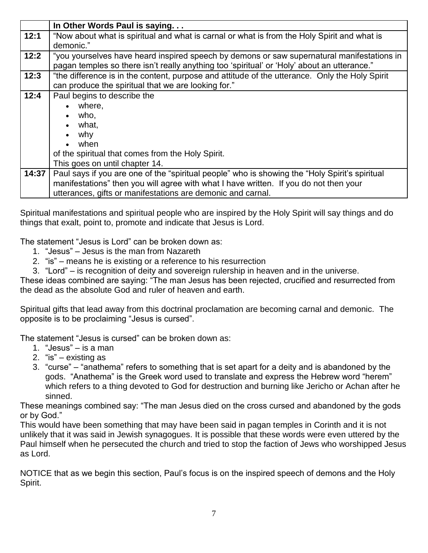|       | In Other Words Paul is saying                                                                                                                                                                                                                          |
|-------|--------------------------------------------------------------------------------------------------------------------------------------------------------------------------------------------------------------------------------------------------------|
| 12:1  | "Now about what is spiritual and what is carnal or what is from the Holy Spirit and what is<br>demonic."                                                                                                                                               |
| 12:2  | "you yourselves have heard inspired speech by demons or saw supernatural manifestations in<br>pagan temples so there isn't really anything too 'spiritual' or 'Holy' about an utterance."                                                              |
| 12:3  | "the difference is in the content, purpose and attitude of the utterance. Only the Holy Spirit<br>can produce the spiritual that we are looking for."                                                                                                  |
| 12:4  | Paul begins to describe the<br>where,<br>who,<br>what,<br>why<br>when<br>of the spiritual that comes from the Holy Spirit.<br>This goes on until chapter 14.                                                                                           |
| 14:37 | Paul says if you are one of the "spiritual people" who is showing the "Holy Spirit's spiritual<br>manifestations" then you will agree with what I have written. If you do not then your<br>utterances, gifts or manifestations are demonic and carnal. |

Spiritual manifestations and spiritual people who are inspired by the Holy Spirit will say things and do things that exalt, point to, promote and indicate that Jesus is Lord.

The statement "Jesus is Lord" can be broken down as:

- 1. "Jesus" Jesus is the man from Nazareth
- 2. "is" means he is existing or a reference to his resurrection
- 3. "Lord" is recognition of deity and sovereign rulership in heaven and in the universe.

These ideas combined are saying: "The man Jesus has been rejected, crucified and resurrected from the dead as the absolute God and ruler of heaven and earth.

Spiritual gifts that lead away from this doctrinal proclamation are becoming carnal and demonic. The opposite is to be proclaiming "Jesus is cursed".

The statement "Jesus is cursed" can be broken down as:

- 1. "Jesus" is a man
- 2. "is" existing as
- 3. "curse" "anathema" refers to something that is set apart for a deity and is abandoned by the gods. "Anathema" is the Greek word used to translate and express the Hebrew word "herem" which refers to a thing devoted to God for destruction and burning like Jericho or Achan after he sinned.

These meanings combined say: "The man Jesus died on the cross cursed and abandoned by the gods or by God."

This would have been something that may have been said in pagan temples in Corinth and it is not unlikely that it was said in Jewish synagogues. It is possible that these words were even uttered by the Paul himself when he persecuted the church and tried to stop the faction of Jews who worshipped Jesus as Lord.

NOTICE that as we begin this section, Paul's focus is on the inspired speech of demons and the Holy Spirit.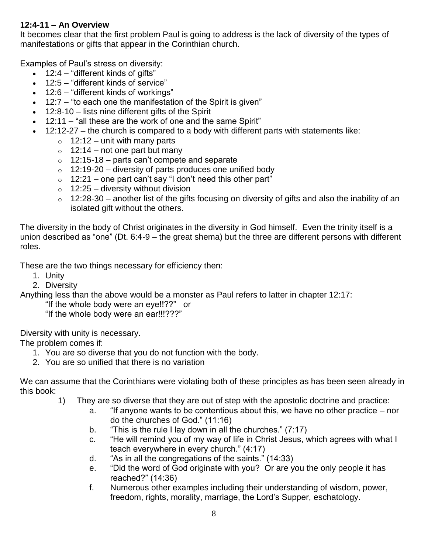#### **12:4-11 – An Overview**

It becomes clear that the first problem Paul is going to address is the lack of diversity of the types of manifestations or gifts that appear in the Corinthian church.

Examples of Paul's stress on diversity:

- $\bullet$  12:4 "different kinds of gifts"
- 12:5 "different kinds of service"
- 12:6 "different kinds of workings"
- 12:7 "to each one the manifestation of the Spirit is given"
- 12:8-10 lists nine different gifts of the Spirit
- 12:11 "all these are the work of one and the same Spirit"
- 12:12-27 the church is compared to a body with different parts with statements like:
	- $\circ$  12:12 unit with many parts
	- $\circ$  12:14 not one part but many
	- $\circ$  12:15-18 parts can't compete and separate
	- $\circ$  12:19-20 diversity of parts produces one unified body
	- $\circ$  12:21 one part can't say "I don't need this other part"
	- $\circ$  12:25 diversity without division
	- o 12:28-30 another list of the gifts focusing on diversity of gifts and also the inability of an isolated gift without the others.

The diversity in the body of Christ originates in the diversity in God himself. Even the trinity itself is a union described as "one" (Dt. 6:4-9 – the great shema) but the three are different persons with different roles.

These are the two things necessary for efficiency then:

- 1. Unity
- 2. Diversity

Anything less than the above would be a monster as Paul refers to latter in chapter 12:17:

"If the whole body were an eye!!??" or

"If the whole body were an ear!!!???"

Diversity with unity is necessary.

The problem comes if:

- 1. You are so diverse that you do not function with the body.
- 2. You are so unified that there is no variation

We can assume that the Corinthians were violating both of these principles as has been seen already in this book:

- 1) They are so diverse that they are out of step with the apostolic doctrine and practice:
	- a. "If anyone wants to be contentious about this, we have no other practice nor do the churches of God." (11:16)
	- b. "This is the rule I lay down in all the churches." (7:17)
	- c. "He will remind you of my way of life in Christ Jesus, which agrees with what I teach everywhere in every church." (4:17)
	- d. "As in all the congregations of the saints." (14:33)
	- e. "Did the word of God originate with you? Or are you the only people it has reached?" (14:36)
	- f. Numerous other examples including their understanding of wisdom, power, freedom, rights, morality, marriage, the Lord's Supper, eschatology.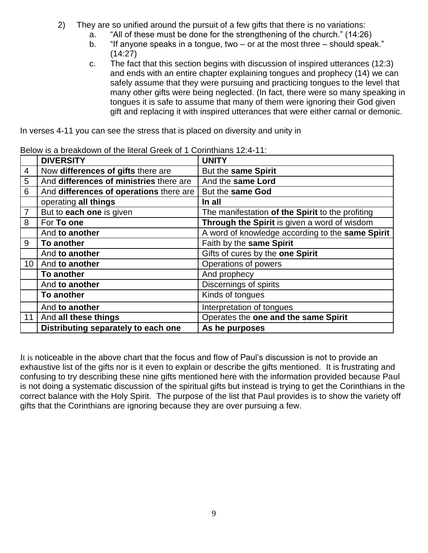- 2) They are so unified around the pursuit of a few gifts that there is no variations:
	- a. "All of these must be done for the strengthening of the church." (14:26)
	- b. "If anyone speaks in a tongue, two or at the most three should speak." (14:27)
	- c. The fact that this section begins with discussion of inspired utterances (12:3) and ends with an entire chapter explaining tongues and prophecy (14) we can safely assume that they were pursuing and practicing tongues to the level that many other gifts were being neglected. (In fact, there were so many speaking in tongues it is safe to assume that many of them were ignoring their God given gift and replacing it with inspired utterances that were either carnal or demonic.

In verses 4-11 you can see the stress that is placed on diversity and unity in

|                 | <b>DIVERSITY</b>                        | <b>UNITY</b>                                     |
|-----------------|-----------------------------------------|--------------------------------------------------|
| 4               | Now differences of gifts there are      | But the same Spirit                              |
| 5               | And differences of ministries there are | And the same Lord                                |
| 6               | And differences of operations there are | But the same God                                 |
|                 | operating all things                    | In all                                           |
| $\overline{7}$  | But to each one is given                | The manifestation of the Spirit to the profiting |
| 8               | For To one                              | Through the Spirit is given a word of wisdom     |
|                 | And to another                          | A word of knowledge according to the same Spirit |
| 9               | To another                              | Faith by the same Spirit                         |
|                 | And to another                          | Gifts of cures by the one Spirit                 |
| 10 <sup>°</sup> | And to another                          | Operations of powers                             |
|                 | To another                              | And prophecy                                     |
|                 | And to another                          | Discernings of spirits                           |
|                 | To another                              | Kinds of tongues                                 |
|                 | And to another                          | Interpretation of tongues                        |
| 11              | And all these things                    | Operates the one and the same Spirit             |
|                 | Distributing separately to each one     | As he purposes                                   |

Below is a breakdown of the literal Greek of 1 Corinthians 12:4-11:

It is noticeable in the above chart that the focus and flow of Paul's discussion is not to provide an exhaustive list of the gifts nor is it even to explain or describe the gifts mentioned. It is frustrating and confusing to try describing these nine gifts mentioned here with the information provided because Paul is not doing a systematic discussion of the spiritual gifts but instead is trying to get the Corinthians in the correct balance with the Holy Spirit. The purpose of the list that Paul provides is to show the variety off gifts that the Corinthians are ignoring because they are over pursuing a few.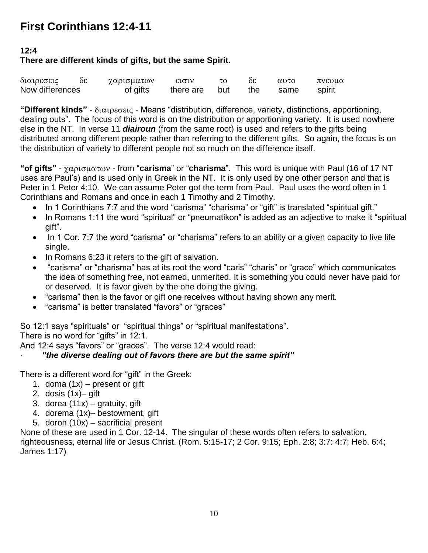## **First Corinthians 12:4-11**

#### **12:4**

#### **There are different kinds of gifts, but the same Spirit.**

| διαιρεσεις      | 36 | χαρισματων | εισιν     |     | òε  | $\alpha$ <sup>0</sup> | πνευμα |  |
|-----------------|----|------------|-----------|-----|-----|-----------------------|--------|--|
| Now differences |    | of gifts   | there are | but | the | same                  | spirit |  |

**"Different kinds"** - διαιρεσεις - Means "distribution, difference, variety, distinctions, apportioning, dealing outs". The focus of this word is on the distribution or apportioning variety. It is used nowhere else in the NT. In verse 11 *diairoun* (from the same root) is used and refers to the gifts being distributed among different people rather than referring to the different gifts. So again, the focus is on the distribution of variety to different people not so much on the difference itself.

"**of gifts"** -  $\gamma \alpha \rho_1 \sigma_2 \mu \alpha \tau_0 \nu$  - from "**carisma**" or "**charisma**". This word is unique with Paul (16 of 17 NT uses are Paul's) and is used only in Greek in the NT. It is only used by one other person and that is Peter in 1 Peter 4:10. We can assume Peter got the term from Paul. Paul uses the word often in 1 Corinthians and Romans and once in each 1 Timothy and 2 Timothy.

- In 1 Corinthians 7:7 and the word "carisma" "charisma" or "gift" is translated "spiritual gift."
- In Romans 1:11 the word "spiritual" or "pneumatikon" is added as an adjective to make it "spiritual gift".
- In 1 Cor. 7:7 the word "carisma" or "charisma" refers to an ability or a given capacity to live life single.
- In Romans 6:23 it refers to the gift of salvation.
- "carisma" or "charisma" has at its root the word "caris" "charis" or "grace" which communicates the idea of something free, not earned, unmerited. It is something you could never have paid for or deserved. It is favor given by the one doing the giving.
- "carisma" then is the favor or gift one receives without having shown any merit.
- "carisma" is better translated "favors" or "graces"

So 12:1 says "spirituals" or "spiritual things" or "spiritual manifestations".

There is no word for "gifts" in 12:1.

And 12:4 says "favors" or "graces". The verse 12:4 would read:

#### · *"the diverse dealing out of favors there are but the same spirit"*

There is a different word for "gift" in the Greek:

- 1. doma  $(1x)$  present or gift
- 2. dosis (1x)– gift
- 3. dorea  $(11x)$  gratuity, gift
- 4. dorema (1x)– bestowment, gift
- 5. doron (10x) sacrificial present

None of these are used in 1 Cor. 12-14. The singular of these words often refers to salvation, righteousness, eternal life or Jesus Christ. (Rom. 5:15-17; 2 Cor. 9:15; Eph. 2:8; 3:7: 4:7; Heb. 6:4; James 1:17)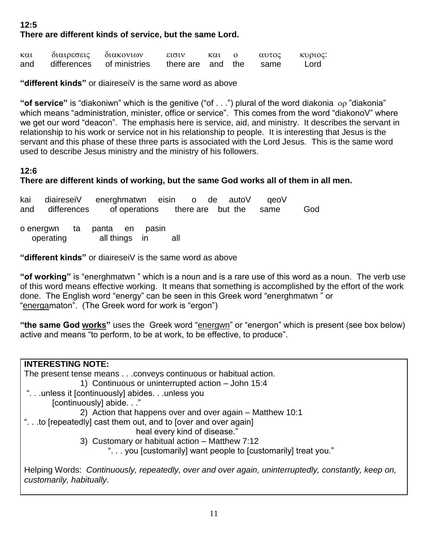#### **12:5 There are different kinds of service, but the same Lord.**

| $\kappa \alpha \iota$ | διαιρεσεις διακονιων |                           | εισιν                  | και ο |  | αυτος κυριος: |
|-----------------------|----------------------|---------------------------|------------------------|-------|--|---------------|
| and                   |                      | differences of ministries | there are and the same |       |  | Lord          |

**"different kinds"** or diaireseiV is the same word as above

"of service" is "diakoniwn" which is the genitive ("of . . .") plural of the word diakonia op "diakonia" which means "administration, minister, office or service". This comes from the word "diakonoV" where we get our word "deacon". The emphasis here is service, aid, and ministry. It describes the servant in relationship to his work or service not in his relationship to people. It is interesting that Jesus is the servant and this phase of these three parts is associated with the Lord Jesus. This is the same word used to describe Jesus ministry and the ministry of his followers.

#### **12:6**

#### **There are different kinds of working, but the same God works all of them in all men.**

kai diaireseiV energhmatwn eisin o de autoV qeoV and differences of operations there are but the same God o energwn ta panta en pasin operating all things in all

**"different kinds"** or diaireseiV is the same word as above

**"of working"** is "energhmatwn " which is a noun and is a rare use of this word as a noun. The verb use of this word means effective working. It means that something is accomplished by the effort of the work done. The English word "energy" can be seen in this Greek word "energhmatwn " or "energamaton". (The Greek word for work is "ergon")

**"the same God works"** uses the Greek word "energwn" or "energon" which is present (see box below) active and means "to perform, to be at work, to be effective, to produce".

| <b>INTERESTING NOTE:</b>                                                                                                        |
|---------------------------------------------------------------------------------------------------------------------------------|
| The present tense means conveys continuous or habitual action.                                                                  |
| 1) Continuous or uninterrupted action - John 15:4                                                                               |
| "unless it [continuously] abidesunless you                                                                                      |
| [continuously] abide."                                                                                                          |
| 2) Action that happens over and over again – Matthew 10:1                                                                       |
| "to [repeatedly] cast them out, and to [over and over again]                                                                    |
| heal every kind of disease."                                                                                                    |
| 3) Customary or habitual action - Matthew 7:12                                                                                  |
| " you [customarily] want people to [customarily] treat you."                                                                    |
| Helping Words: Continuously, repeatedly, over and over again, uninterruptedly, constantly, keep on,<br>customarily, habitually. |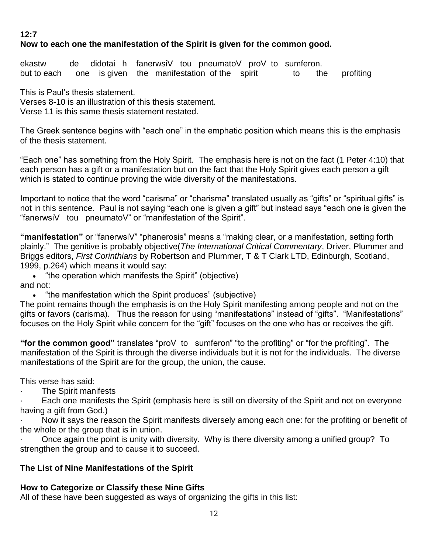#### **12:7**

#### **Now to each one the manifestation of the Spirit is given for the common good.**

ekastw de didotai h fanerwsiV tou pneumatoV proV to sumferon. but to each one is given the manifestation of the spirit to the profiting

This is Paul's thesis statement. Verses 8-10 is an illustration of this thesis statement. Verse 11 is this same thesis statement restated.

The Greek sentence begins with "each one" in the emphatic position which means this is the emphasis of the thesis statement.

"Each one" has something from the Holy Spirit. The emphasis here is not on the fact (1 Peter 4:10) that each person has a gift or a manifestation but on the fact that the Holy Spirit gives each person a gift which is stated to continue proving the wide diversity of the manifestations.

Important to notice that the word "carisma" or "charisma" translated usually as "gifts" or "spiritual gifts" is not in this sentence. Paul is not saying "each one is given a gift" but instead says "each one is given the "fanerwsiV tou pneumatoV" or "manifestation of the Spirit".

**"manifestation"** or "fanerwsiV" "phanerosis" means a "making clear, or a manifestation, setting forth plainly." The genitive is probably objective(*The International Critical Commentary*, Driver, Plummer and Briggs editors, *First Corinthians* by Robertson and Plummer, T & T Clark LTD, Edinburgh, Scotland, 1999, p.264) which means it would say:

 "the operation which manifests the Spirit" (objective) and not:

• "the manifestation which the Spirit produces" (subjective)

The point remains though the emphasis is on the Holy Spirit manifesting among people and not on the gifts or favors (carisma). Thus the reason for using "manifestations" instead of "gifts". "Manifestations" focuses on the Holy Spirit while concern for the "gift" focuses on the one who has or receives the gift.

**"for the common good"** translates "proV to sumferon" "to the profiting" or "for the profiting". The manifestation of the Spirit is through the diverse individuals but it is not for the individuals. The diverse manifestations of the Spirit are for the group, the union, the cause.

This verse has said:

The Spirit manifests

Each one manifests the Spirit (emphasis here is still on diversity of the Spirit and not on everyone having a gift from God.)

Now it says the reason the Spirit manifests diversely among each one: for the profiting or benefit of the whole or the group that is in union.

· Once again the point is unity with diversity. Why is there diversity among a unified group? To strengthen the group and to cause it to succeed.

#### **The List of Nine Manifestations of the Spirit**

#### **How to Categorize or Classify these Nine Gifts**

All of these have been suggested as ways of organizing the gifts in this list: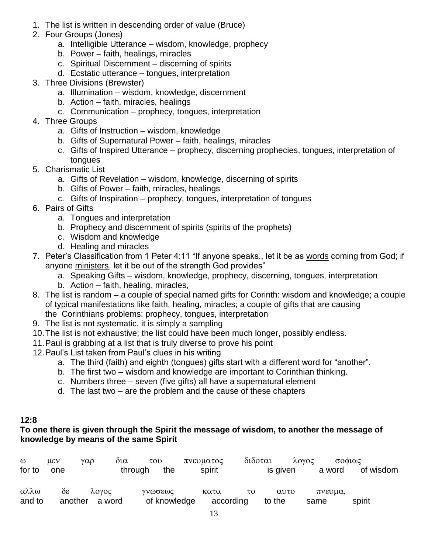- 1. The list is written in descending order of value (Bruce)
- 2. Four Groups (Jones)
	- a. Intelligible Utterance wisdom, knowledge, prophecy
	- b. Power faith, healings, miracles
	- c. Spiritual Discernment discerning of spirits
	- d. Ecstatic utterance tongues, interpretation
- 3. Three Divisions (Brewster)
	- a. Illumination wisdom, knowledge, discernment
	- b. Action faith, miracles, healings
	- c. Communication prophecy, tongues, interpretation
- 4. Three Groups
	- a. Gifts of Instruction wisdom, knowledge
	- b. Gifts of Supernatural Power faith, healings, miracles
	- c. Gifts of Inspired Utterance prophecy, discerning prophecies, tongues, interpretation of tongues
- 5. Charismatic List
	- a. Gifts of Revelation wisdom, knowledge, discerning of spirits
	- b. Gifts of Power faith, miracles, healings
	- c. Gifts of Inspiration prophecy, tongues, interpretation of tongues
- 6. Pairs of Gifts
	- a. Tongues and interpretation
	- b. Prophecy and discernment of spirits (spirits of the prophets)
	- c. Wisdom and knowledge
	- d. Healing and miracles
- 7. Peter's Classification from 1 Peter 4:11 "If anyone speaks., let it be as words coming from God; if anyone ministers, let it be out of the strength God provides"
	- a. Speaking Gifts wisdom, knowledge, prophecy, discerning, tongues, interpretation
	- b. Action faith, healing, miracles,
- 8. The list is random a couple of special named gifts for Corinth: wisdom and knowledge; a couple of typical manifestations like faith, healing, miracles; a couple of gifts that are causing the Corinthians problems: prophecy, tongues, interpretation
- 9. The list is not systematic, it is simply a sampling
- 10.The list is not exhaustive; the list could have been much longer, possibly endless.
- 11.Paul is grabbing at a list that is truly diverse to prove his point
- 12.Paul's List taken from Paul's clues in his writing
	- a. The third (faith) and eighth (tongues) gifts start with a different word for "another".
	- b. The first two wisdom and knowledge are important to Corinthian thinking.
	- c. Numbers three seven (five gifts) all have a supernatural element
	- d. The last two are the problem and the cause of these chapters

#### **12:8**

#### **To one there is given through the Spirit the message of wisdom, to another the message of knowledge by means of the same Spirit**

| $\omega$ | $\mu$ <sub>E</sub> $\vee$ | γαρ            | δια<br>$\tau$ <sup>O</sup> |              | πνευματος | διδοται | λογος    | σοφιας  |           |
|----------|---------------------------|----------------|----------------------------|--------------|-----------|---------|----------|---------|-----------|
| for to   | one                       |                | through                    | the          | spirit    |         | is given | a word  | of wisdom |
| αλλω     | $\delta \varepsilon$      | λογος          |                            | Υνωσεως      | κατα      | τo      | αυτο     | πνευμα. |           |
| and to   |                           | another a word |                            | of knowledge | according |         | to the   | same    | spirit    |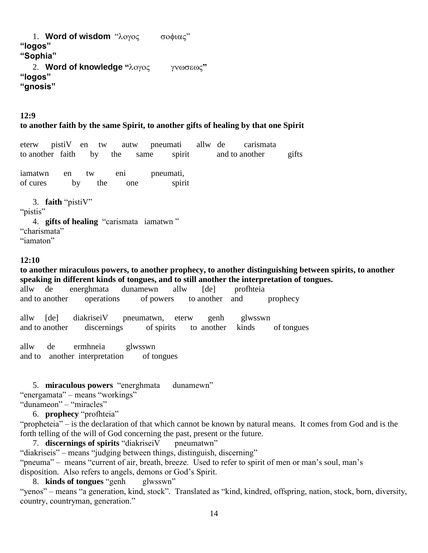1. **Word of wisdom** " $\lambda$ oyog  $\sigma$   $\sigma$ o $\phi$ ιας" **"logos" "Sophia"** 2. **Word of knowledge "λογος γνωσεως" "logos" "gnosis"**

#### **12:9**

#### **to another faith by the same Spirit, to another gifts of healing by that one Spirit**

eterw pistiV en tw autw pneumati allw de carismata to another faith by the same spirit and to another gifts

iamatwn en tw eni pneumati, of cures by the one spirit

3. **faith** "pistiV" "*pistis*" 4. **gifts of healing** "carismata iamatwn " "charismata" "iamaton"

#### **12:10**

**to another miraculous powers, to another prophecy, to another distinguishing between spirits, to another speaking in different kinds of tongues, and to still another the interpretation of tongues.**

allw de energhmata dunamewn allw [de] profhteia and to another operations of powers to another and prophecy

allw [de] diakriseiV pneumatwn, eterw genh glwsswn and to another discernings of spirits to another kinds of tongues

allw de ermhneia glwsswn and to another interpretation of tongues

5. **miraculous powers** "energhmata dunamewn"

"energamata" – means "workings"

"dunameon" – "miracles"

6. **prophecy** "profhteia"

"propheteia" – is the declaration of that which cannot be known by natural means. It comes from God and is the forth telling of the will of God concerning the past, present or the future.

7. **discernings of spirits** "diakriseiV pneumatwn"

"diakriseis" – means "judging between things, distinguish, discerning"

"pneuma" – means "current of air, breath, breeze. Used to refer to spirit of men or man's soul, man's

disposition. Also refers to angels, demons or God's Spirit.

8. **kinds of tongues** "genh glwsswn"

"yenos" – means "a generation, kind, stock". Translated as "kind, kindred, offspring, nation, stock, born, diversity, country, countryman, generation."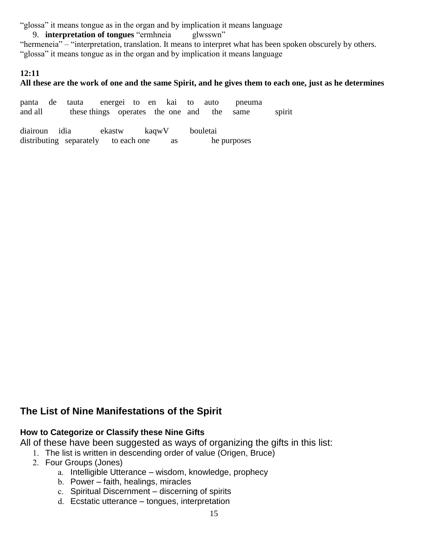"glossa" it means tongue as in the organ and by implication it means language

9. **interpretation of tongues** "ermhneia glwsswn" "hermeneia" – "interpretation, translation. It means to interpret what has been spoken obscurely by others. "glossa" it means tongue as in the organ and by implication it means language

#### **12:11**

#### **All these are the work of one and the same Spirit, and he gives them to each one, just as he determines**

panta de tauta energei to en kai to auto pneuma and all these things operates the one and the same spirit

diairoun idia ekastw kaqwV bouletai distributing separately to each one as he purposes

## **The List of Nine Manifestations of the Spirit**

#### **How to Categorize or Classify these Nine Gifts**

All of these have been suggested as ways of organizing the gifts in this list:

- 1. The list is written in descending order of value (Origen, Bruce)
- 2. Four Groups (Jones)
	- a. Intelligible Utterance wisdom, knowledge, prophecy
	- b. Power faith, healings, miracles
	- c. Spiritual Discernment discerning of spirits
	- d. Ecstatic utterance tongues, interpretation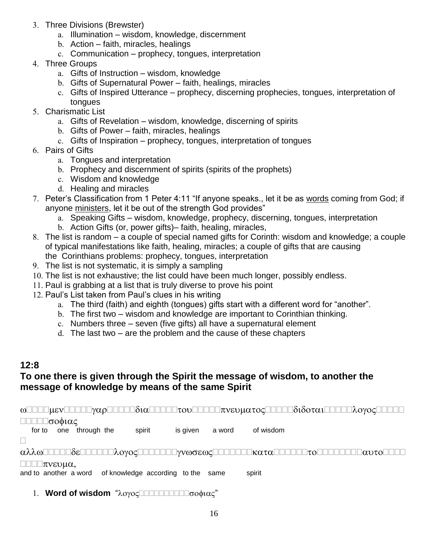- 3. Three Divisions (Brewster)
	- a. Illumination wisdom, knowledge, discernment
	- b. Action faith, miracles, healings
	- c. Communication prophecy, tongues, interpretation
- 4. Three Groups
	- a. Gifts of Instruction wisdom, knowledge
	- b. Gifts of Supernatural Power faith, healings, miracles
	- c. Gifts of Inspired Utterance prophecy, discerning prophecies, tongues, interpretation of tongues
- 5. Charismatic List
	- a. Gifts of Revelation wisdom, knowledge, discerning of spirits
	- b. Gifts of Power faith, miracles, healings
	- c. Gifts of Inspiration prophecy, tongues, interpretation of tongues
- 6. Pairs of Gifts
	- a. Tongues and interpretation
	- b. Prophecy and discernment of spirits (spirits of the prophets)
	- c. Wisdom and knowledge
	- d. Healing and miracles
- 7. Peter's Classification from 1 Peter 4:11 "If anyone speaks., let it be as words coming from God; if anyone ministers, let it be out of the strength God provides"
	- a. Speaking Gifts wisdom, knowledge, prophecy, discerning, tongues, interpretation
	- b. Action Gifts (or, power gifts)– faith, healing, miracles,
- 8. The list is random a couple of special named gifts for Corinth: wisdom and knowledge; a couple of typical manifestations like faith, healing, miracles; a couple of gifts that are causing the Corinthians problems: prophecy, tongues, interpretation
- 9. The list is not systematic, it is simply a sampling
- 10. The list is not exhaustive; the list could have been much longer, possibly endless.
- 11. Paul is grabbing at a list that is truly diverse to prove his point
- 12. Paul's List taken from Paul's clues in his writing
	- a. The third (faith) and eighth (tongues) gifts start with a different word for "another".
	- b. The first two wisdom and knowledge are important to Corinthian thinking.
	- c. Numbers three seven (five gifts) all have a supernatural element
	- d. The last two are the problem and the cause of these chapters

## **12:8**

#### **To one there is given through the Spirit the message of wisdom, to another the message of knowledge by means of the same Spirit**

 $\omega$ 

#### □□□□□σοφιας

for to one through the spirit is given a word of wisdom

П

 $\alpha\lambda\lambda\omega$ 

#### $\Box\Box\Box\pi$ vevu $\alpha$ .

and to another a word of knowledge according to the same spirit

1. **Word of wisdom** "λογοςΠΠΠΠΠΠΠΠΠσοφιας"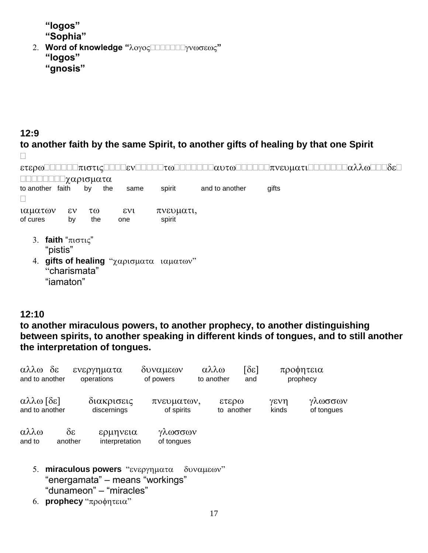**"logos" "Sophia"**

2. Word of knowledge "λογος**ΠΟΠΟΙΔΗ**γνωσεως" **"logos" "gnosis"**

#### **12:9**

**to another faith by the same Spirit, to another gifts of healing by that one Spirit**  $\Box$ 

 ΠΠΠΠΠΠΩχαρισματα to another faith by the same spirit and to another gifts  $\Box$ ιαματων εν τω ενι πνευματι, of cures by the one spirit 3. **faith** " $\pi i \sigma \tau i \zeta$ " "pistis" 4. gifts of healing "χαρισματα ιαματων" "charismata"

"iamaton"

#### **12:10**

**to another miraculous powers, to another prophecy, to another distinguishing between spirits, to another speaking in different kinds of tongues, and to still another the interpretation of tongues.**

| αλλω<br>and to another      | $\delta \varepsilon$            | ενεργηματα<br>operations   | δυναμεων<br>of powers    | αλλω<br>to another | $\lceil \delta \varepsilon \rceil$<br>and |               | προφητεια<br>prophecy |
|-----------------------------|---------------------------------|----------------------------|--------------------------|--------------------|-------------------------------------------|---------------|-----------------------|
| αλλω [δε]<br>and to another |                                 | διακρισεις<br>discernings  | πνευματων,<br>of spirits |                    | ετερω<br>to another                       | γενη<br>kinds | γλωσσων<br>of tongues |
| αλλω<br>and to              | $\delta \varepsilon$<br>another | ερμηνεια<br>interpretation | γλωσσων<br>of tongues    |                    |                                           |               |                       |

- 5. miraculous powers "ενεργηματα δυναμεων" "energamata" – means "workings" "dunameon" – "miracles"
- 6. **prophecy** "προφητεια"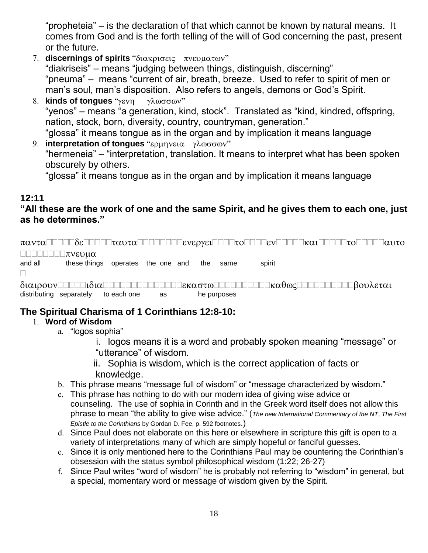"propheteia" – is the declaration of that which cannot be known by natural means. It comes from God and is the forth telling of the will of God concerning the past, present or the future.

- 7. **discernings of spirits** "διακρισεις πνευματων" "diakriseis" – means "judging between things, distinguish, discerning" "pneuma" – means "current of air, breath, breeze. Used to refer to spirit of men or man's soul, man's disposition. Also refers to angels, demons or God's Spirit.
- 8. **kinds of tongues** "γενη γλωσσων" "yenos" – means "a generation, kind, stock". Translated as "kind, kindred, offspring, nation, stock, born, diversity, country, countryman, generation." "glossa" it means tongue as in the organ and by implication it means language
- 9. **interpretation of tongues** "ερμηνεια γλωσσων" "hermeneia" – "interpretation, translation. It means to interpret what has been spoken obscurely by others.

"glossa" it means tongue as in the organ and by implication it means language

#### **12:11**

## **"All these are the work of one and the same Spirit, and he gives them to each one, just as he determines."**

 $\pi\alpha\nu\tau\alpha$  -  $\pi\alpha\nu\tau\alpha$  -  $\pi\alpha\nu\tau\alpha$  -  $\pi\alpha\nu\tau\alpha$  -  $\pi\alpha\nu\tau\alpha$  -  $\pi\alpha\nu\tau\alpha$  -  $\pi\alpha\nu\tau\alpha$  -  $\pi\alpha\nu\tau\alpha$  -  $\pi\alpha\nu\tau\alpha$  -  $\pi\alpha\nu\tau\alpha$  -  $\pi\alpha\nu\tau\alpha$  $\Box \Box \Box \Box \Box \Box \Box \pi$ vevu $\alpha$ and all these things operates the one and the same spirit  $\Box$  distributing separately to each one as he purposes

## **The Spiritual Charisma of 1 Corinthians 12:8-10:**

#### 1. **Word of Wisdom**

- a. "logos sophia"
	- i. logos means it is a word and probably spoken meaning "message" or "utterance" of wisdom.
	- ii. Sophia is wisdom, which is the correct application of facts or knowledge.
- b. This phrase means "message full of wisdom" or "message characterized by wisdom."
- c. This phrase has nothing to do with our modern idea of giving wise advice or counseling. The use of sophia in Corinth and in the Greek word itself does not allow this phrase to mean "the ability to give wise advice." (*The new International Commentary of the NT*, *The First Epistle to the Corinthians* by Gordan D. Fee, p. 592 footnotes.)
- d. Since Paul does not elaborate on this here or elsewhere in scripture this gift is open to a variety of interpretations many of which are simply hopeful or fanciful guesses.
- e. Since it is only mentioned here to the Corinthians Paul may be countering the Corinthian's obsession with the status symbol philosophical wisdom (1:22; 26-27)
- f. Since Paul writes "word of wisdom" he is probably not referring to "wisdom" in general, but a special, momentary word or message of wisdom given by the Spirit.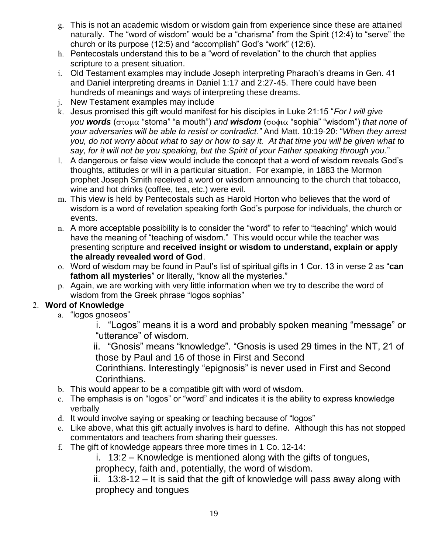- g. This is not an academic wisdom or wisdom gain from experience since these are attained naturally. The "word of wisdom" would be a "charisma" from the Spirit (12:4) to "serve" the church or its purpose (12:5) and "accomplish" God's "work" (12:6).
- h. Pentecostals understand this to be a "word of revelation" to the church that applies scripture to a present situation.
- i. Old Testament examples may include Joseph interpreting Pharaoh's dreams in Gen. 41 and Daniel interpreting dreams in Daniel 1:17 and 2:27-45. There could have been hundreds of meanings and ways of interpreting these dreams.
- j. New Testament examples may include
- k. Jesus promised this gift would manifest for his disciples in Luke 21:15 "*For I will give you words* (στομα "stoma" "a mouth") and **wisdom** (σοφια "sophia" "wisdom") *that none of your adversaries will be able to resist or contradict."* And Matt. 10:19-20: "*When they arrest you, do not worry about what to say or how to say it. At that time you will be given what to say, for it will not be you speaking, but the Spirit of your Father speaking through you.*"
- l. A dangerous or false view would include the concept that a word of wisdom reveals God's thoughts, attitudes or will in a particular situation. For example, in 1883 the Mormon prophet Joseph Smith received a word or wisdom announcing to the church that tobacco, wine and hot drinks (coffee, tea, etc.) were evil.
- m. This view is held by Pentecostals such as Harold Horton who believes that the word of wisdom is a word of revelation speaking forth God's purpose for individuals, the church or events.
- n. A more acceptable possibility is to consider the "word" to refer to "teaching" which would have the meaning of "teaching of wisdom." This would occur while the teacher was presenting scripture and **received insight or wisdom to understand, explain or apply the already revealed word of God**.
- o. Word of wisdom may be found in Paul's list of spiritual gifts in 1 Cor. 13 in verse 2 as "**can fathom all mysteries**" or literally, "know all the mysteries."
- p. Again, we are working with very little information when we try to describe the word of wisdom from the Greek phrase "logos sophias"

#### 2. **Word of Knowledge**

a. "logos gnoseos"

 i. "Logos" means it is a word and probably spoken meaning "message" or "utterance" of wisdom.

 ii. "Gnosis" means "knowledge". "Gnosis is used 29 times in the NT, 21 of those by Paul and 16 of those in First and Second

Corinthians. Interestingly "epignosis" is never used in First and Second Corinthians.

- b. This would appear to be a compatible gift with word of wisdom.
- c. The emphasis is on "logos" or "word" and indicates it is the ability to express knowledge verbally
- d. It would involve saying or speaking or teaching because of "logos"
- e. Like above, what this gift actually involves is hard to define. Although this has not stopped commentators and teachers from sharing their guesses.
- f. The gift of knowledge appears three more times in 1 Co. 12-14:

i. 13:2 – Knowledge is mentioned along with the gifts of tongues,

prophecy, faith and, potentially, the word of wisdom.

 ii. 13:8-12 – It is said that the gift of knowledge will pass away along with prophecy and tongues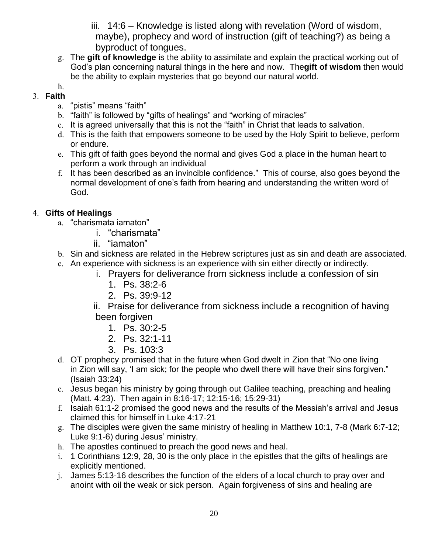iii. 14:6 – Knowledge is listed along with revelation (Word of wisdom, maybe), prophecy and word of instruction (gift of teaching?) as being a byproduct of tongues.

g. The **gift of knowledge** is the ability to assimilate and explain the practical working out of God's plan concerning natural things in the here and now. The**gift of wisdom** then would be the ability to explain mysteries that go beyond our natural world.

#### h. 3. **Faith**

- a. "pistis" means "faith"
- b. "faith" is followed by "gifts of healings" and "working of miracles"
- c. It is agreed universally that this is not the "faith" in Christ that leads to salvation.
- d. This is the faith that empowers someone to be used by the Holy Spirit to believe, perform or endure.
- e. This gift of faith goes beyond the normal and gives God a place in the human heart to perform a work through an individual
- f. It has been described as an invincible confidence." This of course, also goes beyond the normal development of one's faith from hearing and understanding the written word of God.

## 4. **Gifts of Healings**

- a. "charismata iamaton"
	- i. "charismata"
	- ii. "iamaton"
- b. Sin and sickness are related in the Hebrew scriptures just as sin and death are associated.
- c. An experience with sickness is an experience with sin either directly or indirectly.
	- i. Prayers for deliverance from sickness include a confession of sin
		- 1. Ps. 38:2-6
		- 2. Ps. 39:9-12
	- ii. Praise for deliverance from sickness include a recognition of having been forgiven
		- 1. Ps. 30:2-5
		- 2. Ps. 32:1-11
		- 3. Ps. 103:3
- d. OT prophecy promised that in the future when God dwelt in Zion that "No one living in Zion will say, 'I am sick; for the people who dwell there will have their sins forgiven." (Isaiah 33:24)
- e. Jesus began his ministry by going through out Galilee teaching, preaching and healing (Matt. 4:23). Then again in 8:16-17; 12:15-16; 15:29-31)
- f. Isaiah 61:1-2 promised the good news and the results of the Messiah's arrival and Jesus claimed this for himself in Luke 4:17-21
- g. The disciples were given the same ministry of healing in Matthew 10:1, 7-8 (Mark 6:7-12; Luke 9:1-6) during Jesus' ministry.
- h. The apostles continued to preach the good news and heal.
- i. 1 Corinthians 12:9, 28, 30 is the only place in the epistles that the gifts of healings are explicitly mentioned.
- j. James 5:13-16 describes the function of the elders of a local church to pray over and anoint with oil the weak or sick person. Again forgiveness of sins and healing are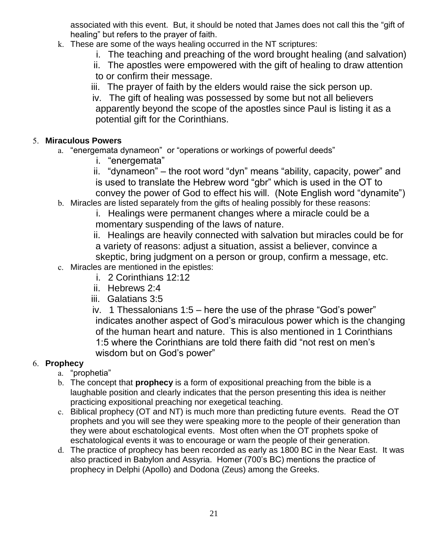associated with this event. But, it should be noted that James does not call this the "gift of healing" but refers to the prayer of faith.

- k. These are some of the ways healing occurred in the NT scriptures:
	- i. The teaching and preaching of the word brought healing (and salvation)
	- ii. The apostles were empowered with the gift of healing to draw attention to or confirm their message.
	- iii. The prayer of faith by the elders would raise the sick person up.
	- iv. The gift of healing was possessed by some but not all believers apparently beyond the scope of the apostles since Paul is listing it as a potential gift for the Corinthians.

#### 5. **Miraculous Powers**

- a. "energemata dynameon" or "operations or workings of powerful deeds"
	- i. "energemata"
	- ii. "dynameon" the root word "dyn" means "ability, capacity, power" and is used to translate the Hebrew word "gbr" which is used in the OT to convey the power of God to effect his will. (Note English word "dynamite")
- b. Miracles are listed separately from the gifts of healing possibly for these reasons:
	- i. Healings were permanent changes where a miracle could be a momentary suspending of the laws of nature.
	- ii. Healings are heavily connected with salvation but miracles could be for a variety of reasons: adjust a situation, assist a believer, convince a skeptic, bring judgment on a person or group, confirm a message, etc.
- c. Miracles are mentioned in the epistles:
	- i. 2 Corinthians 12:12
	- ii. Hebrews 2:4
	- iii. Galatians 3:5
	- iv. 1 Thessalonians 1:5 here the use of the phrase "God's power" indicates another aspect of God's miraculous power which is the changing of the human heart and nature. This is also mentioned in 1 Corinthians 1:5 where the Corinthians are told there faith did "not rest on men's wisdom but on God's power"

#### 6. **Prophecy**

- a. "prophetia"
- b. The concept that **prophecy** is a form of expositional preaching from the bible is a laughable position and clearly indicates that the person presenting this idea is neither practicing expositional preaching nor exegetical teaching.
- c. Biblical prophecy (OT and NT) is much more than predicting future events. Read the OT prophets and you will see they were speaking more to the people of their generation than they were about eschatological events. Most often when the OT prophets spoke of eschatological events it was to encourage or warn the people of their generation.
- d. The practice of prophecy has been recorded as early as 1800 BC in the Near East. It was also practiced in Babylon and Assyria. Homer (700's BC) mentions the practice of prophecy in Delphi (Apollo) and Dodona (Zeus) among the Greeks.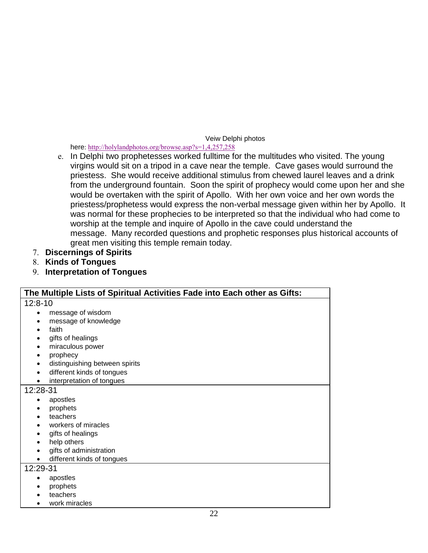#### Veiw Delphi photos

here: <http://holylandphotos.org/browse.asp?s=1,4,257,258>

- e. In Delphi two prophetesses worked fulltime for the multitudes who visited. The young virgins would sit on a tripod in a cave near the temple. Cave gases would surround the priestess. She would receive additional stimulus from chewed laurel leaves and a drink from the underground fountain. Soon the spirit of prophecy would come upon her and she would be overtaken with the spirit of Apollo. With her own voice and her own words the priestess/prophetess would express the non-verbal message given within her by Apollo. It was normal for these prophecies to be interpreted so that the individual who had come to worship at the temple and inquire of Apollo in the cave could understand the message. Many recorded questions and prophetic responses plus historical accounts of great men visiting this temple remain today.
- 7. **Discernings of Spirits**
- 8. **Kinds of Tongues**
- 9. **Interpretation of Tongues**

| The Multiple Lists of Spiritual Activities Fade into Each other as Gifts: |
|---------------------------------------------------------------------------|
| $12:8-10$                                                                 |
| message of wisdom                                                         |
| message of knowledge                                                      |
| faith                                                                     |
| gifts of healings                                                         |
| miraculous power<br>٠                                                     |
| prophecy<br>٠                                                             |
| distinguishing between spirits                                            |
| different kinds of tongues                                                |
| interpretation of tongues                                                 |
| 12:28-31                                                                  |
| apostles                                                                  |
| prophets                                                                  |
| teachers                                                                  |
| workers of miracles                                                       |
| gifts of healings                                                         |
| help others                                                               |
| gifts of administration                                                   |
| different kinds of tongues<br>٠                                           |
| 12:29-31                                                                  |
| apostles                                                                  |
| prophets                                                                  |
| teachers                                                                  |
| work miracles                                                             |